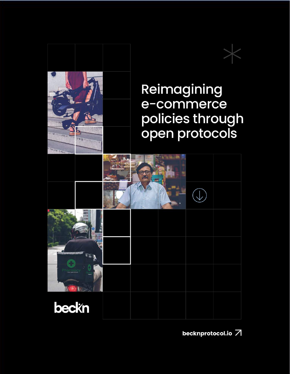

becknprotocol.io 7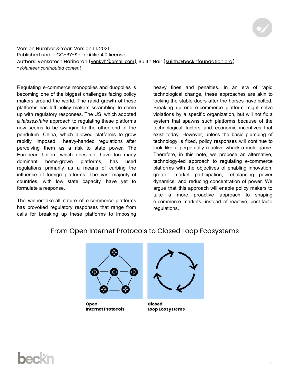Version Number & Year: Version 1.1, 2021 Published under CC-BY-ShareAlike 4.0 license Authors: Venkatesh Hariharan (venkyh@gmail.com), Sujith Nair (sujith@becknfoundation.org) \**Volunteer contributed content*

Regulating e-commerce monopolies and duopolies is becoming one of the biggest challenges facing policy makers around the world. The rapid growth of these platforms has left policy makers scrambling to come up with regulatory responses. The US, which adopted a *laissez-faire* approach to regulating these platforms now seems to be swinging to the other end of the pendulum. China, which allowed platforms to grow rapidly, imposed heavy-handed regulations after perceiving them as a risk to state power. The European Union, which does not have too many dominant home-grown platforms, has used regulations primarily as a means of curbing the influence of foreign platforms. The vast majority of countries, with low state capacity, have yet to formulate a response.

The winner-take-all nature of e-commerce platforms has provoked regulatory responses that range from calls for breaking up these platforms to imposing

heavy fines and penalties. In an era of rapid technological change, these approaches are akin to locking the stable doors after the horses have bolted. Breaking up one e-commerce platform might solve violations by a specific organization, but will not fix a system that spawns such platforms because of the technological factors and economic incentives that exist today. However, unless the basic plumbing of technology is fixed, policy responses will continue to look like a perpetually reactive whack-a-mole game. Therefore, in this note, we propose an alternative, technology-led approach to regulating e-commerce platforms with the objectives of enabling innovation, greater market participation, rebalancing power dynamics, and reducing concentration of power. We argue that this approach will enable policy makers to take a more proactive approach to shaping e-commerce markets, instead of reactive, post-facto regulations.

From Open Internet Protocols to Closed Loop Ecosystems

Open **Internet Protocols** 



**Closed Loop Ecosystems**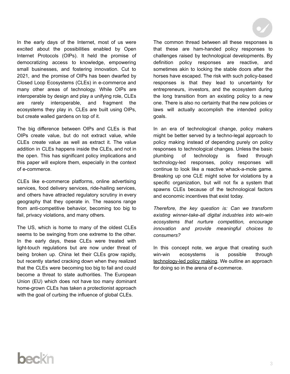In the early days of the Internet, most of us were excited about the possibilities enabled by Open Internet Protocols (OIPs). It held the promise of democratizing access to knowledge, empowering small businesses, and fostering innovation. Cut to 2021, and the promise of OIPs has been dwarfed by Closed Loop Ecosystems (CLEs) in e-commerce and many other areas of technology. While OIPs are interoperable by design and play a unifying role, CLEs are rarely interoperable, and fragment the ecosystems they play in. CLEs are built using OIPs, but create walled gardens on top of it.

The big difference between OIPs and CLEs is that OIPs create value, but do not extract value, while CLEs create value as well as extract it. The value addition in CLEs happens inside the CLEs, and not in the open. This has significant policy implications and this paper will explore them, especially in the context of e-commerce.

CLEs like e-commerce platforms, online advertising services, food delivery services, ride-hailing services, and others have attracted regulatory scrutiny in every geography that they operate in. The reasons range from anti-competitive behavior, becoming too big to fail, privacy violations, and many others.

The US, which is home to many of the oldest CLEs seems to be swinging from one extreme to the other. In the early days, these CLEs were treated with light-touch regulations but are now under threat of being broken up. China let their CLEs grow rapidly, but recently started cracking down when they realized that the CLEs were becoming too big to fail and could become a threat to state authorities. The European Union (EU) which does not have too many dominant home-grown CLEs has taken a protectionist approach with the goal of curbing the influence of global CLEs.

The common thread between all these responses is that these are ham-handed policy responses to challenges raised by technological developments. By definition policy responses are reactive, and sometimes akin to locking the stable doors after the horses have escaped. The risk with such policy-based responses is that they lead to uncertainty for entrepreneurs, investors, and the ecosystem during the long transition from an existing policy to a new one. There is also no certainty that the new policies or laws will actually accomplish the intended policy goals.

In an era of technological change, policy makers might be better served by a techno-legal approach to policy making instead of depending purely on policy responses to technological changes. Unless the basic plumbing of technology is fixed through technology-led responses, policy responses will continue to look like a reactive whack-a-mole game. Breaking up one CLE might solve for violations by a specific organization, but will not fix a system that spawns CLEs because of the technological factors and economic incentives that exist today.

*Therefore, the key question is: Can we transform existing winner-take-all digital industries into win-win ecosystems that nurture competition, encourage innovation and provide meaningful choices to consumers?*

In this concept note, we argue that creating such win-win ecosystems is possible through technology-led policy making. We outline an approach for doing so in the arena of e-commerce.

# beckr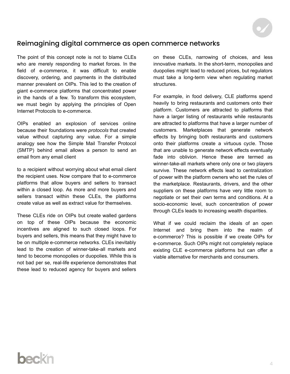

#### Reimagining digital commerce as open commerce networks

The point of this concept note is not to blame CLEs who are merely responding to market forces. In the field of e-commerce, it was difficult to enable discovery, ordering, and payments in the distributed manner prevalent on OIPs. This led to the creation of giant e-commerce platforms that concentrated power in the hands of a few. To transform this ecosystem, we must begin by applying the principles of Open Internet Protocols to e-commerce.

OIPs enabled an explosion of services online because their foundations were *protocols* that created value without capturing any value. For a simple analogy see how the Simple Mail Transfer Protocol (SMTP) behind email allows a person to send an email from any email client

to a recipient without worrying about what email client the recipient uses. Now compare that to e-commerce platforms that allow buyers and sellers to transact within a closed loop. As more and more buyers and sellers transact within these CLEs, the platforms create value as well as extract value for themselves.

These CLEs ride on OIPs but create walled gardens on top of these OIPs because the economic incentives are aligned to such closed loops. For buyers and sellers, this means that they might have to be on multiple e-commerce networks. CLEs inevitably lead to the creation of winner-take-all markets and tend to become monopolies or duopolies. While this is not bad per se, real-life experience demonstrates that these lead to reduced agency for buyers and sellers

on these CLEs, narrowing of choices, and less innovative markets. In the short-term, monopolies and duopolies might lead to reduced prices, but regulators must take a long-term view when regulating market **structures** 

For example, in food delivery, CLE platforms spend heavily to bring restaurants and customers onto their platform. Customers are attracted to platforms that have a larger listing of restaurants while restaurants are attracted to platforms that have a larger number of customers. Marketplaces that generate network effects by bringing both restaurants and customers onto their platforms create a virtuous cycle. Those that are unable to generate network effects eventually fade into oblivion. Hence these are termed as winner-take-all markets where only one or two players survive. These network effects lead to centralization of power with the platform owners who set the rules of the marketplace. Restaurants, drivers, and the other suppliers on these platforms have very little room to negotiate or set their own terms and conditions. At a socio-economic level, such concentration of power through CLEs leads to increasing wealth disparities.

What if we could reclaim the ideals of an open Internet and bring them into the realm of e-commerce? This is possible if we create OIPs for e-commerce. Such OIPs might not completely replace existing CLE e-commerce platforms but can offer a viable alternative for merchants and consumers.

## beckn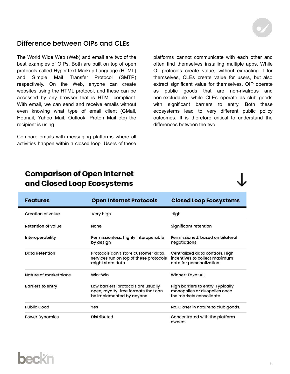

#### Difference between OIPs and CLEs

The World Wide Web (Web) and email are two of the best examples of OIPs. Both are built on top of open protocols called HyperText Markup Language (HTML) and Simple Mail Transfer Protocol (SMTP) respectively. On the Web, anyone can create websites using the HTML protocol, and these can be accessed by any browser that is HTML compliant. With email, we can send and receive emails without even knowing what type of email client (GMail, Hotmail, Yahoo Mail, Outlook, Proton Mail etc) the recipient is using.

Compare emails with messaging platforms where all activities happen within a closed loop. Users of these platforms cannot communicate with each other and often find themselves installing multiple apps. While OI protocols create value, without extracting it for themselves, CLEs create value for users, but also extract significant value for themselves. OIP operate as public goods that are non-rivalrous and non-excludable, while CLEs operate as club goods with significant barriers to entry. Both these ecosystems lead to very different public policy outcomes. It is therefore critical to understand the differences between the two.

### **Comparison of Open Internet** and Closed Loop Ecosystems

| <b>Features</b>       | <b>Open Internet Protocols</b>                                                                         | <b>Closed Loop Ecosystems</b>                                                                |
|-----------------------|--------------------------------------------------------------------------------------------------------|----------------------------------------------------------------------------------------------|
| Creation of value     | Very high                                                                                              | High                                                                                         |
| Retention of value    | None                                                                                                   | Significant retention                                                                        |
| Interoperability      | Permissionless, highly interoperable<br>by design                                                      | Permissioned, based on bilateral<br>negotiations                                             |
| Data Retention        | Protocols don't store customer data,<br>services run on top of these protocols<br>might store data     | Centralized data controls. High<br>incentives to collect maximum<br>data for personalization |
| Nature of marketplace | Win-Win                                                                                                | Winner-Take-All                                                                              |
| Barriers to entry     | Low barriers, protocols are usually<br>open, royalty-free formats that can<br>be implemented by anyone | High barriers to entry. Typically<br>monopolies or duopolies once<br>the markets consolidate |
| <b>Public Good</b>    | Yes                                                                                                    | No. Closer in nature to club goods.                                                          |
| <b>Power Dynamics</b> | Distributed                                                                                            | Concentrated with the platform<br>owners                                                     |

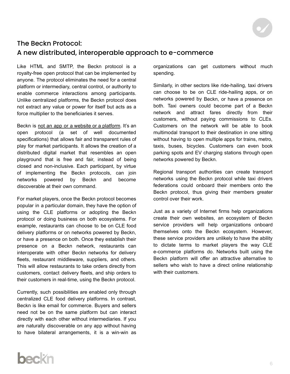

#### The Beckn Protocol: A new distributed, interoperable approach to e-commerce

Like HTML and SMTP, the Beckn protocol is a royalty-free open protocol that can be implemented by anyone. The protocol eliminates the need for a central platform or intermediary, central control, or authority to enable commerce interactions among participants. Unlike centralized platforms, the Beckn protocol does not extract any value or power for itself but acts as a force multiplier to the beneficiaries it serves.

Beckn is not an app or a website or a platform. It's an open protocol (a set of well documented specifications) that allows fair and transparent rules of play for market participants. It allows the creation of a distributed digital market that resembles an open playground that is free and fair, instead of being closed and non-inclusive. Each participant, by virtue of implementing the Beckn protocols, can join networks powered by Beckn and become discoverable at their own command.

For market players, once the Beckn protocol becomes popular in a particular domain, they have the option of using the CLE platforms or adopting the Beckn protocol or doing business on both ecosystems. For example, restaurants can choose to be on CLE food delivery platforms or on networks powered by Beckn, or have a presence on both. Once they establish their presence on a Beckn network, restaurants can interoperate with other Beckn networks for delivery fleets, restaurant middleware, suppliers, and others. This will allow restaurants to take orders directly from customers, contact delivery fleets, and ship orders to their customers in real-time, using the Beckn protocol.

Currently, such possibilities are enabled only through centralized CLE food delivery platforms. In contrast, Beckn is like email for commerce. Buyers and sellers need not be on the same platform but can interact directly with each other without intermediaries. If you are naturally discoverable on any app without having to have bilateral arrangements, it is a win-win as organizations can get customers without much spending.

Similarly, in other sectors like ride-hailing, taxi drivers can choose to be on CLE ride-hailing apps, or on networks powered by Beckn, or have a presence on both. Taxi owners could become part of a Beckn network and attract fares directly from their customers, without paying commissions to CLEs. Customers on the network will be able to book multimodal transport to their destination in one sitting without having to open multiple apps for trains, metro, taxis, buses, bicycles. Customers can even book parking spots and EV charging stations through open networks powered by Beckn.

Regional transport authorities can create transport networks using the Beckn protocol while taxi drivers federations could onboard their members onto the Beckn protocol, thus giving their members greater control over their work.

Just as a variety of Internet firms help organizations create their own websites, an ecosystem of Beckn service providers will help organizations onboard themselves onto the Beckn ecosystem. However, these service providers are unlikely to have the ability to dictate terms to market players the way CLE e-commerce platforms do. Networks built using the Beckn platform will offer an attractive alternative to sellers who wish to have a direct online relationship with their customers.

## beckn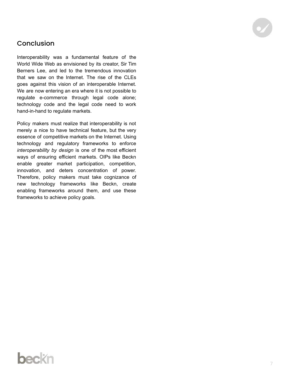#### **Conclusion**

Interoperability was a fundamental feature of the World Wide Web as envisioned by its creator, Sir Tim Berners Lee, and led to the tremendous innovation that we saw on the Internet. The rise of the CLEs goes against this vision of an interoperable Internet. We are now entering an era where it is not possible to regulate e-commerce through legal code alone; technology code and the legal code need to work hand-in-hand to regulate markets.

Policy makers must realize that interoperability is not merely a nice to have technical feature, but the very essence of competitive markets on the Internet. Using technology and regulatory frameworks to enforce *interoperability by design* is one of the most efficient ways of ensuring efficient markets. OIPs like Beckn enable greater market participation, competition, innovation, and deters concentration of power. Therefore, policy makers must take cognizance of new technology frameworks like Beckn, create enabling frameworks around them, and use these frameworks to achieve policy goals.

### beckn